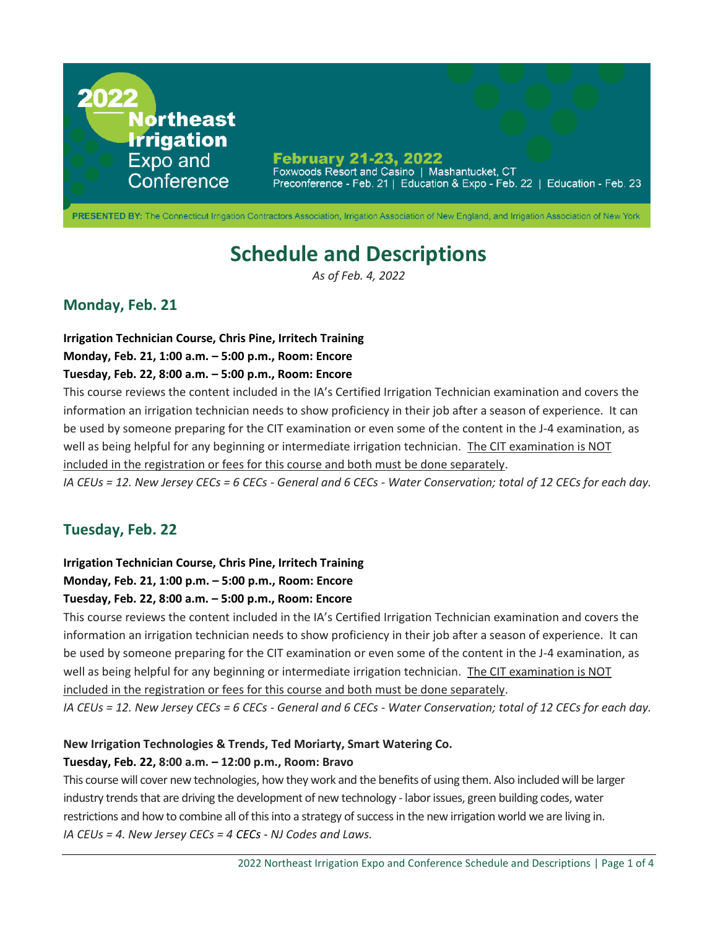

# **Schedule and Descriptions**

*As of Feb. 4, 2022*

# **Monday, Feb. 21**

**Irrigation Technician Course, Chris Pine, Irritech Training**

#### **Monday, Feb. 21, 1:00 a.m. – 5:00 p.m., Room: Encore**

### **Tuesday, Feb. 22, 8:00 a.m. – 5:00 p.m., Room: Encore**

This course reviews the content included in the IA's Certified Irrigation Technician examination and covers the information an irrigation technician needs to show proficiency in their job after a season of experience. It can be used by someone preparing for the CIT examination or even some of the content in the J-4 examination, as well as being helpful for any beginning or intermediate irrigation technician. The CIT examination is NOT included in the registration or fees for this course and both must be done separately.

*IA CEUs = 12. New Jersey CECs = 6 CECs - General and 6 CECs - Water Conservation; total of 12 CECs for each day.*

# **Tuesday, Feb. 22**

### **Irrigation Technician Course, Chris Pine, Irritech Training**

### **Monday, Feb. 21, 1:00 p.m. – 5:00 p.m., Room: Encore**

### **Tuesday, Feb. 22, 8:00 a.m. – 5:00 p.m., Room: Encore**

This course reviews the content included in the IA's Certified Irrigation Technician examination and covers the information an irrigation technician needs to show proficiency in their job after a season of experience. It can be used by someone preparing for the CIT examination or even some of the content in the J-4 examination, as well as being helpful for any beginning or intermediate irrigation technician. The CIT examination is NOT included in the registration or fees for this course and both must be done separately.

*IA CEUs = 12. New Jersey CECs = 6 CECs - General and 6 CECs - Water Conservation; total of 12 CECs for each day.*

### **New Irrigation Technologies & Trends, Ted Moriarty, Smart Watering Co.**

### **Tuesday, Feb. 22, 8:00 a.m. – 12:00 p.m., Room: Bravo**

This course will cover new technologies, how they work and the benefits of using them. Also included will be larger industry trends that are driving the development of new technology - labor issues, green building codes, water restrictions and how to combine all of this into a strategy of success in the new irrigation world we are living in. *IA CEUs = 4. New Jersey CECs = 4 CECs - NJ Codes and Laws.*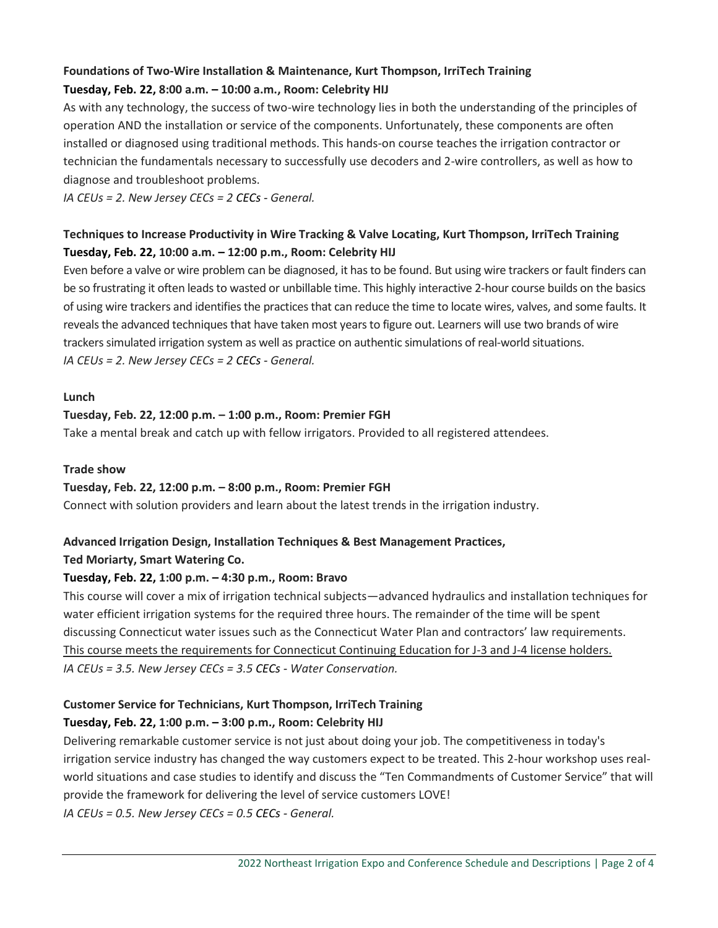### **Foundations of Two-Wire Installation & Maintenance, Kurt Thompson, IrriTech Training Tuesday, Feb. 22, 8:00 a.m. – 10:00 a.m., Room: Celebrity HIJ**

As with any technology, the success of two-wire technology lies in both the understanding of the principles of operation AND the installation or service of the components. Unfortunately, these components are often installed or diagnosed using traditional methods. This hands-on course teaches the irrigation contractor or technician the fundamentals necessary to successfully use decoders and 2-wire controllers, as well as how to diagnose and troubleshoot problems.

*IA CEUs = 2. New Jersey CECs = 2 CECs - General.*

## **Techniques to Increase Productivity in Wire Tracking & Valve Locating, Kurt Thompson, IrriTech Training Tuesday, Feb. 22, 10:00 a.m. – 12:00 p.m., Room: Celebrity HIJ**

Even before a valve or wire problem can be diagnosed, it has to be found. But using wire trackers or fault finders can be so frustrating it often leads to wasted or unbillable time. This highly interactive 2-hour course builds on the basics of using wire trackers and identifies the practices that can reduce the time to locate wires, valves, and some faults. It reveals the advanced techniques that have taken most years to figure out. Learners will use two brands of wire trackers simulated irrigation system as well as practice on authentic simulations of real-world situations. *IA CEUs = 2. New Jersey CECs = 2 CECs - General.*

#### **Lunch**

### **Tuesday, Feb. 22, 12:00 p.m. – 1:00 p.m., Room: Premier FGH**

Take a mental break and catch up with fellow irrigators. Provided to all registered attendees.

#### **Trade show**

### **Tuesday, Feb. 22, 12:00 p.m. – 8:00 p.m., Room: Premier FGH**

Connect with solution providers and learn about the latest trends in the irrigation industry.

### **Advanced Irrigation Design, Installation Techniques & Best Management Practices,**

### **Ted Moriarty, Smart Watering Co.**

### **Tuesday, Feb. 22, 1:00 p.m. – 4:30 p.m., Room: Bravo**

This course will cover a mix of irrigation technical subjects—advanced hydraulics and installation techniques for water efficient irrigation systems for the required three hours. The remainder of the time will be spent discussing Connecticut water issues such as the Connecticut Water Plan and contractors' law requirements. This course meets the requirements for Connecticut Continuing Education for J-3 and J-4 license holders. *IA CEUs = 3.5. New Jersey CECs = 3.5 CECs - Water Conservation.*

# **Customer Service for Technicians, Kurt Thompson, IrriTech Training Tuesday, Feb. 22, 1:00 p.m. – 3:00 p.m., Room: Celebrity HIJ**

Delivering remarkable customer service is not just about doing your job. The competitiveness in today's irrigation service industry has changed the way customers expect to be treated. This 2-hour workshop uses realworld situations and case studies to identify and discuss the "Ten Commandments of Customer Service" that will provide the framework for delivering the level of service customers LOVE! *IA CEUs = 0.5. New Jersey CECs = 0.5 CECs - General.*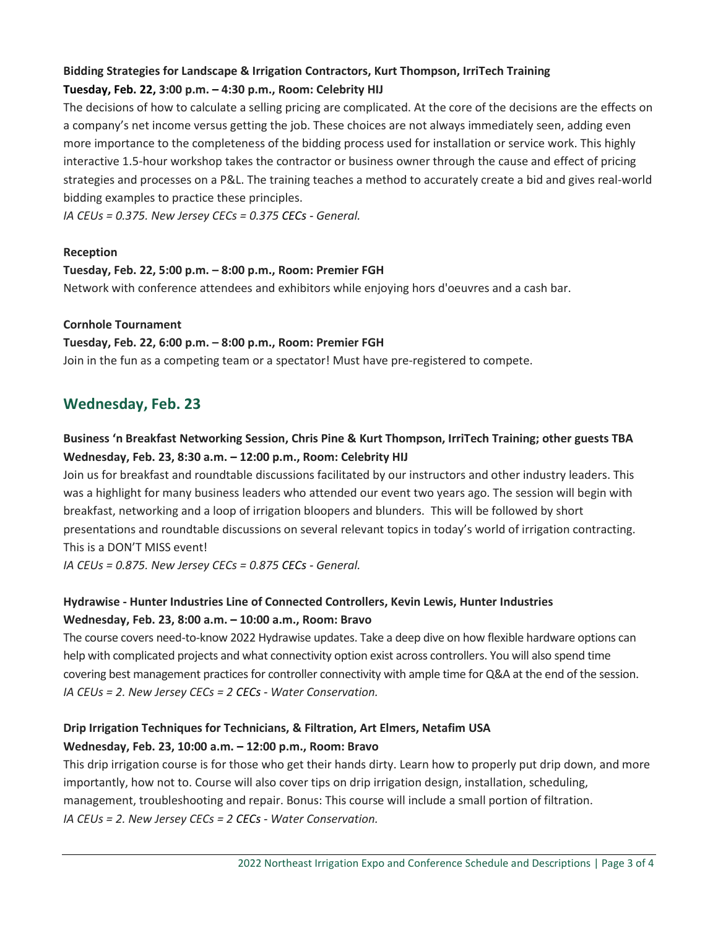### **Bidding Strategies for Landscape & Irrigation Contractors, Kurt Thompson, IrriTech Training Tuesday, Feb. 22, 3:00 p.m. – 4:30 p.m., Room: Celebrity HIJ**

The decisions of how to calculate a selling pricing are complicated. At the core of the decisions are the effects on a company's net income versus getting the job. These choices are not always immediately seen, adding even more importance to the completeness of the bidding process used for installation or service work. This highly interactive 1.5-hour workshop takes the contractor or business owner through the cause and effect of pricing strategies and processes on a P&L. The training teaches a method to accurately create a bid and gives real-world bidding examples to practice these principles.

*IA CEUs = 0.375. New Jersey CECs = 0.375 CECs - General.*

#### **Reception**

#### **Tuesday, Feb. 22, 5:00 p.m. – 8:00 p.m., Room: Premier FGH**

Network with conference attendees and exhibitors while enjoying hors d'oeuvres and a cash bar.

#### **Cornhole Tournament**

#### **Tuesday, Feb. 22, 6:00 p.m. – 8:00 p.m., Room: Premier FGH**

Join in the fun as a competing team or a spectator! Must have pre-registered to compete.

# **Wednesday, Feb. 23**

# **Business 'n Breakfast Networking Session, Chris Pine & Kurt Thompson, IrriTech Training; other guests TBA Wednesday, Feb. 23, 8:30 a.m. – 12:00 p.m., Room: Celebrity HIJ**

Join us for breakfast and roundtable discussions facilitated by our instructors and other industry leaders. This was a highlight for many business leaders who attended our event two years ago. The session will begin with breakfast, networking and a loop of irrigation bloopers and blunders. This will be followed by short presentations and roundtable discussions on several relevant topics in today's world of irrigation contracting. This is a DON'T MISS event!

*IA CEUs = 0.875. New Jersey CECs = 0.875 CECs - General.*

# **Hydrawise - Hunter Industries Line of Connected Controllers, Kevin Lewis, Hunter Industries Wednesday, Feb. 23, 8:00 a.m. – 10:00 a.m., Room: Bravo**

The course covers need-to-know 2022 Hydrawise updates. Take a deep dive on how flexible hardware options can help with complicated projects and what connectivity option exist across controllers. You will also spend time covering best management practices for controller connectivity with ample time for Q&A at the end of the session. *IA CEUs = 2. New Jersey CECs = 2 CECs - Water Conservation.*

# **Drip Irrigation Techniques for Technicians, & Filtration, Art Elmers, Netafim USA Wednesday, Feb. 23, 10:00 a.m. – 12:00 p.m., Room: Bravo**

This drip irrigation course is for those who get their hands dirty. Learn how to properly put drip down, and more importantly, how not to. Course will also cover tips on drip irrigation design, installation, scheduling, management, troubleshooting and repair. Bonus: This course will include a small portion of filtration. *IA CEUs = 2. New Jersey CECs = 2 CECs - Water Conservation.*